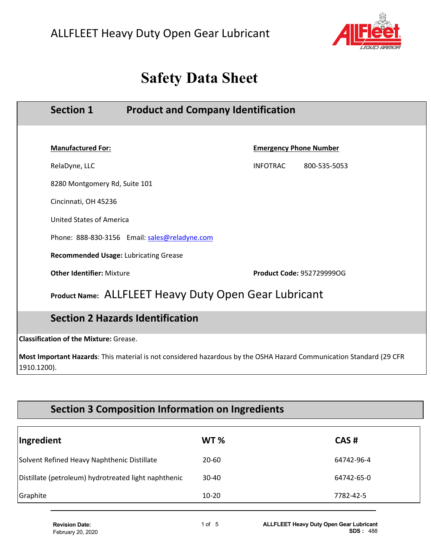

# **Safety Data Sheet**

| <b>Section 1</b>                                             | <b>Product and Company Identification</b>                                                                           |                                  |              |  |
|--------------------------------------------------------------|---------------------------------------------------------------------------------------------------------------------|----------------------------------|--------------|--|
|                                                              |                                                                                                                     |                                  |              |  |
| <b>Manufactured For:</b>                                     |                                                                                                                     | <b>Emergency Phone Number</b>    |              |  |
| RelaDyne, LLC                                                |                                                                                                                     | <b>INFOTRAC</b>                  | 800-535-5053 |  |
|                                                              | 8280 Montgomery Rd, Suite 101                                                                                       |                                  |              |  |
| Cincinnati, OH 45236                                         |                                                                                                                     |                                  |              |  |
|                                                              | <b>United States of America</b>                                                                                     |                                  |              |  |
| Phone: 888-830-3156 Email: sales@reladyne.com                |                                                                                                                     |                                  |              |  |
| Recommended Usage: Lubricating Grease                        |                                                                                                                     |                                  |              |  |
| <b>Other Identifier: Mixture</b>                             |                                                                                                                     | <b>Product Code: 9527299990G</b> |              |  |
| <b>Product Name: ALLFLEET Heavy Duty Open Gear Lubricant</b> |                                                                                                                     |                                  |              |  |
|                                                              | <b>Section 2 Hazards Identification</b>                                                                             |                                  |              |  |
| <b>Classification of the Mixture: Grease.</b>                |                                                                                                                     |                                  |              |  |
| 1910.1200).                                                  | Most Important Hazards: This material is not considered hazardous by the OSHA Hazard Communication Standard (29 CFR |                                  |              |  |

## **Section 3 Composition Information on Ingredients**

| Ingredient                                           | <b>WT %</b> | CAS#       |
|------------------------------------------------------|-------------|------------|
| Solvent Refined Heavy Naphthenic Distillate          | 20-60       | 64742-96-4 |
| Distillate (petroleum) hydrotreated light naphthenic | 30-40       | 64742-65-0 |
| Graphite                                             | $10 - 20$   | 7782-42-5  |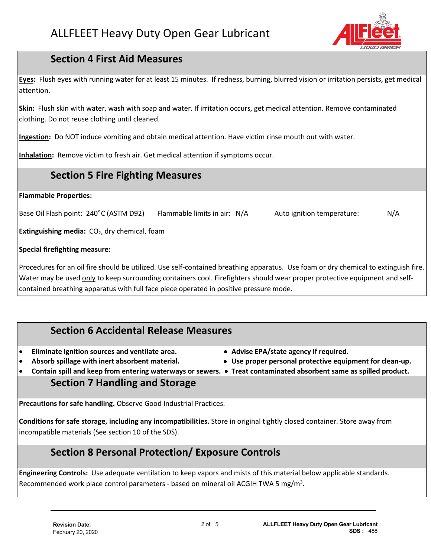

### **Section 4 First Aid Measures**

**Eyes:** Flush eyes with running water for at least 15 minutes. If redness, burning, blurred vision or irritation persists, get medical attention.

**Skin:** Flush skin with water, wash with soap and water. If irritation occurs, get medical attention. Remove contaminated clothing. Do not reuse clothing until cleaned.

**Ingestion:** Do NOT induce vomiting and obtain medical attention. Have victim rinse mouth out with water.

**Inhalation:** Remove victim to fresh air. Get medical attention if symptoms occur.

### **Section 5 Fire Fighting Measures**

#### **Flammable Properties:**

Base Oil Flash point: 240°C (ASTM D92) Flammable limits in air: N/A Auto ignition temperature: N/A

**Extinguishing media:** CO<sub>2</sub>, dry chemical, foam

#### **Special firefighting measure:**

Procedures for an oil fire should be utilized. Use self-contained breathing apparatus. Use foam or dry chemical to extinguish fire. Water may be used only to keep surrounding containers cool. Firefighters should wear proper protective equipment and selfcontained breathing apparatus with full face piece operated in positive pressure mode.

### **Section 6 Accidental Release Measures**

- **Eliminate ignition sources and ventilate area.** • **Advise EPA/state agency if required.**
- 
- **Contain spill and keep from entering waterways or sewers.** • **Treat contaminated absorbent same as spilled product.**

### **Section 7 Handling and Storage**

**Precautions for safe handling.** Observe Good Industrial Practices.

**Conditions for safe storage, including any incompatibilities.** Store in original tightly closed container. Store away from incompatible materials (See section 10 of the SDS).

### **Section 8 Personal Protection/ Exposure Controls**

**Engineering Controls:** Use adequate ventilation to keep vapors and mists of this material below applicable standards. Recommended work place control parameters - based on mineral oil ACGIH TWA 5 mg/m<sup>3</sup>.

- 
- **Absorb spillage with inert absorbent material.** • **Use proper personal protective equipment for clean-up.**
	-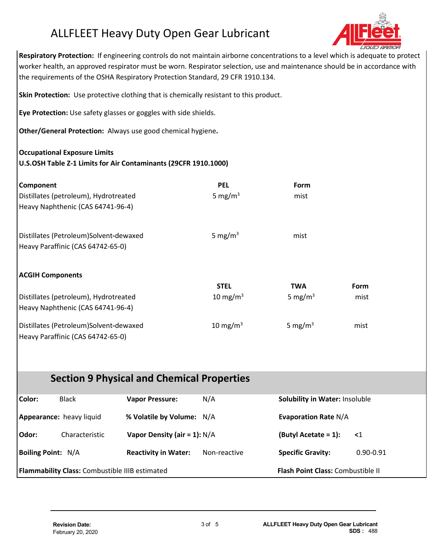## ALLFLEET Heavy Duty Open Gear Lubricant



**Respiratory Protection:** If engineering controls do not maintain airborne concentrations to a level which is adequate to protect worker health, an approved respirator must be worn. Respirator selection, use and maintenance should be in accordance with the requirements of the OSHA Respiratory Protection Standard, 29 CFR 1910.134.

**Skin Protection:** Use protective clothing that is chemically resistant to this product.

**Eye Protection:** Use safety glasses or goggles with side shields.

**Other/General Protection:** Always use good chemical hygiene**.** 

#### **Occupational Exposure Limits**

#### **U.S.OSH Table Z-1 Limits for Air Contaminants (29CFR 1910.1000)**

| Component<br>Distillates (petroleum), Hydrotreated<br>Heavy Naphthenic (CAS 64741-96-4)               | <b>PEL</b><br>5 mg/m <sup>3</sup> | <b>Form</b><br>mist      |              |
|-------------------------------------------------------------------------------------------------------|-----------------------------------|--------------------------|--------------|
| Distillates (Petroleum)Solvent-dewaxed<br>Heavy Paraffinic (CAS 64742-65-0)                           | 5 mg/m <sup>3</sup>               | mist                     |              |
| <b>ACGIH Components</b><br>Distillates (petroleum), Hydrotreated<br>Heavy Naphthenic (CAS 64741-96-4) | <b>STEL</b><br>10 mg/m $3$        | <b>TWA</b><br>5 mg/m $3$ | Form<br>mist |
| Distillates (Petroleum)Solvent-dewaxed<br>Heavy Paraffinic (CAS 64742-65-0)                           | 10 mg/m $3$                       | 5 mg/m <sup>3</sup>      | mist         |

### **Section 9 Physical and Chemical Properties**

| Color:                                                                                            | <b>Black</b>             | <b>Vapor Pressure:</b>          | N/A          | Solubility in Water: Insoluble |               |
|---------------------------------------------------------------------------------------------------|--------------------------|---------------------------------|--------------|--------------------------------|---------------|
|                                                                                                   | Appearance: heavy liquid | % Volatile by Volume: N/A       |              | <b>Evaporation Rate N/A</b>    |               |
| Odor:                                                                                             | Characteristic           | Vapor Density (air = $1$ ): N/A |              | (Butyl Acetate = 1):           | $\leq 1$      |
| <b>Boiling Point: N/A</b>                                                                         |                          | <b>Reactivity in Water:</b>     | Non-reactive | <b>Specific Gravity:</b>       | $0.90 - 0.91$ |
| <b>Flammability Class:</b> Combustible IIIB estimated<br><b>Flash Point Class: Combustible II</b> |                          |                                 |              |                                |               |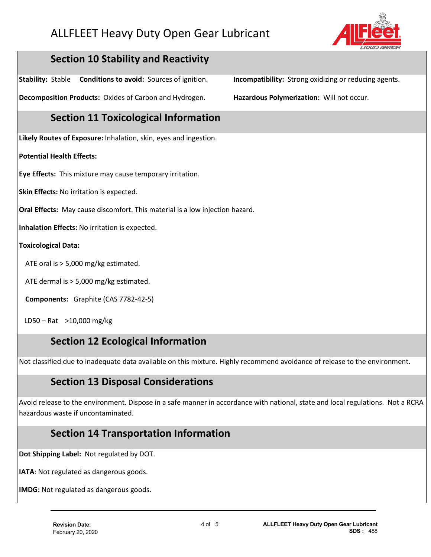## ALLFLEET Heavy Duty Open Gear Lubricant



|                                                                              | LIUULI HITIIIUT                                       |  |
|------------------------------------------------------------------------------|-------------------------------------------------------|--|
| <b>Section 10 Stability and Reactivity</b>                                   |                                                       |  |
| <b>Stability: Stable</b><br><b>Conditions to avoid:</b> Sources of ignition. | Incompatibility: Strong oxidizing or reducing agents. |  |
| Decomposition Products: Oxides of Carbon and Hydrogen.                       | Hazardous Polymerization: Will not occur.             |  |
| <b>Section 11 Toxicological Information</b>                                  |                                                       |  |
| Likely Routes of Exposure: Inhalation, skin, eyes and ingestion.             |                                                       |  |
| <b>Potential Health Effects:</b>                                             |                                                       |  |
| Eye Effects: This mixture may cause temporary irritation.                    |                                                       |  |
| Skin Effects: No irritation is expected.                                     |                                                       |  |
| Oral Effects: May cause discomfort. This material is a low injection hazard. |                                                       |  |
| Inhalation Effects: No irritation is expected.                               |                                                       |  |
| <b>Toxicological Data:</b>                                                   |                                                       |  |
| ATE oral is > 5,000 mg/kg estimated.                                         |                                                       |  |
| ATE dermal is > 5,000 mg/kg estimated.                                       |                                                       |  |
| <b>Components:</b> Graphite (CAS 7782-42-5)                                  |                                                       |  |
| LD50 - Rat >10,000 mg/kg                                                     |                                                       |  |

### **Section 12 Ecological Information**

Not classified due to inadequate data available on this mixture. Highly recommend avoidance of release to the environment.

### **Section 13 Disposal Considerations**

Avoid release to the environment. Dispose in a safe manner in accordance with national, state and local regulations. Not a RCRA hazardous waste if uncontaminated.

### **Section 14 Transportation Information**

**Dot Shipping Label:** Not regulated by DOT.

**IATA**: Not regulated as dangerous goods.

**IMDG:** Not regulated as dangerous goods.